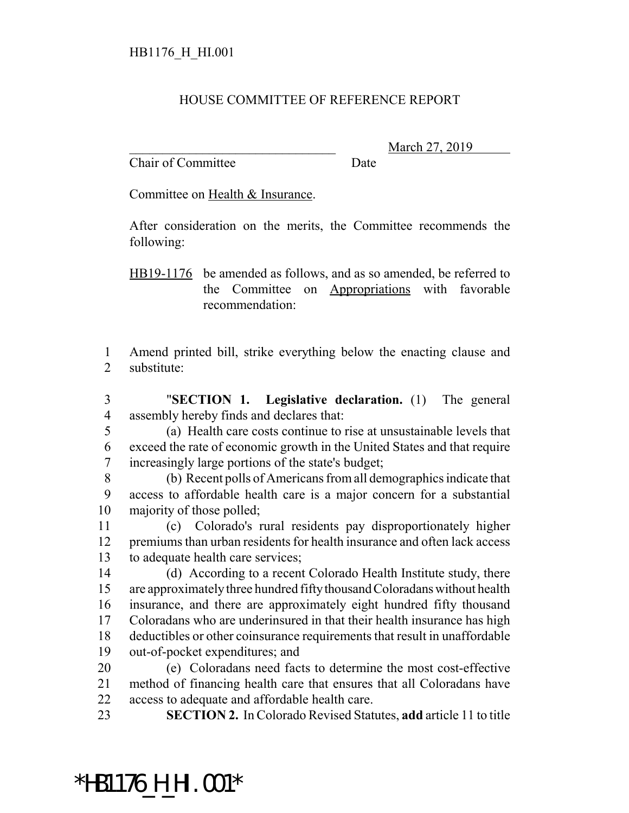#### HOUSE COMMITTEE OF REFERENCE REPORT

Chair of Committee Date

March 27, 2019

Committee on Health & Insurance.

After consideration on the merits, the Committee recommends the following:

HB19-1176 be amended as follows, and as so amended, be referred to the Committee on Appropriations with favorable recommendation:

 Amend printed bill, strike everything below the enacting clause and substitute:

 "**SECTION 1. Legislative declaration.** (1) The general assembly hereby finds and declares that:

 (a) Health care costs continue to rise at unsustainable levels that exceed the rate of economic growth in the United States and that require increasingly large portions of the state's budget;

 (b) Recent polls of Americans from all demographics indicate that access to affordable health care is a major concern for a substantial majority of those polled;

 (c) Colorado's rural residents pay disproportionately higher premiums than urban residents for health insurance and often lack access to adequate health care services;

 (d) According to a recent Colorado Health Institute study, there are approximately three hundred fifty thousand Coloradans without health insurance, and there are approximately eight hundred fifty thousand Coloradans who are underinsured in that their health insurance has high deductibles or other coinsurance requirements that result in unaffordable out-of-pocket expenditures; and

 (e) Coloradans need facts to determine the most cost-effective method of financing health care that ensures that all Coloradans have access to adequate and affordable health care.

**SECTION 2.** In Colorado Revised Statutes, **add** article 11 to title

## \*HB1176\_H\_HI.001\*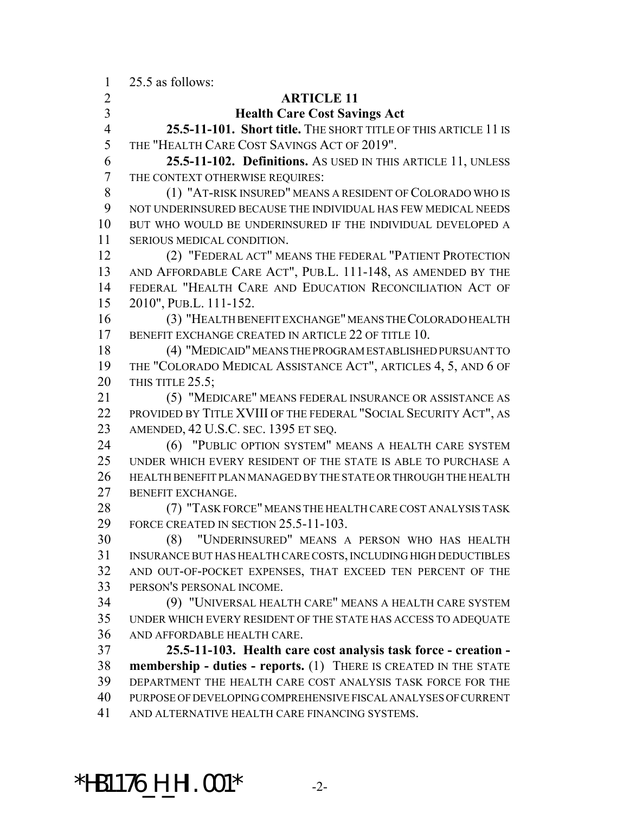25.5 as follows:

#### **ARTICLE 11**

#### **Health Care Cost Savings Act**

 **25.5-11-101. Short title.** THE SHORT TITLE OF THIS ARTICLE 11 IS THE "HEALTH CARE COST SAVINGS ACT OF 2019".

 **25.5-11-102. Definitions.** AS USED IN THIS ARTICLE 11, UNLESS THE CONTEXT OTHERWISE REQUIRES:

 (1) "AT-RISK INSURED" MEANS A RESIDENT OF COLORADO WHO IS NOT UNDERINSURED BECAUSE THE INDIVIDUAL HAS FEW MEDICAL NEEDS BUT WHO WOULD BE UNDERINSURED IF THE INDIVIDUAL DEVELOPED A SERIOUS MEDICAL CONDITION.

 (2) "FEDERAL ACT" MEANS THE FEDERAL "PATIENT PROTECTION AND AFFORDABLE CARE ACT", PUB.L. 111-148, AS AMENDED BY THE FEDERAL "HEALTH CARE AND EDUCATION RECONCILIATION ACT OF 2010", PUB.L. 111-152.

 (3) "HEALTH BENEFIT EXCHANGE" MEANS THE COLORADO HEALTH BENEFIT EXCHANGE CREATED IN ARTICLE 22 OF TITLE 10.

 (4) "MEDICAID" MEANS THE PROGRAM ESTABLISHED PURSUANT TO THE "COLORADO MEDICAL ASSISTANCE ACT", ARTICLES 4, 5, AND 6 OF THIS TITLE 25.5;

 (5) "MEDICARE" MEANS FEDERAL INSURANCE OR ASSISTANCE AS PROVIDED BY TITLE XVIII OF THE FEDERAL "SOCIAL SECURITY ACT", AS AMENDED, 42 U.S.C. SEC. 1395 ET SEQ.

 (6) "PUBLIC OPTION SYSTEM" MEANS A HEALTH CARE SYSTEM UNDER WHICH EVERY RESIDENT OF THE STATE IS ABLE TO PURCHASE A HEALTH BENEFIT PLAN MANAGED BY THE STATE OR THROUGH THE HEALTH BENEFIT EXCHANGE.

 (7) "TASK FORCE" MEANS THE HEALTH CARE COST ANALYSIS TASK FORCE CREATED IN SECTION 25.5-11-103.

 (8) "UNDERINSURED" MEANS A PERSON WHO HAS HEALTH INSURANCE BUT HAS HEALTH CARE COSTS, INCLUDING HIGH DEDUCTIBLES AND OUT-OF-POCKET EXPENSES, THAT EXCEED TEN PERCENT OF THE PERSON'S PERSONAL INCOME.

 (9) "UNIVERSAL HEALTH CARE" MEANS A HEALTH CARE SYSTEM UNDER WHICH EVERY RESIDENT OF THE STATE HAS ACCESS TO ADEQUATE AND AFFORDABLE HEALTH CARE.

 **25.5-11-103. Health care cost analysis task force - creation - membership - duties - reports.** (1) THERE IS CREATED IN THE STATE DEPARTMENT THE HEALTH CARE COST ANALYSIS TASK FORCE FOR THE PURPOSE OF DEVELOPING COMPREHENSIVE FISCAL ANALYSES OF CURRENT AND ALTERNATIVE HEALTH CARE FINANCING SYSTEMS.

# \*HB1176\_H\_HI.001\* -2-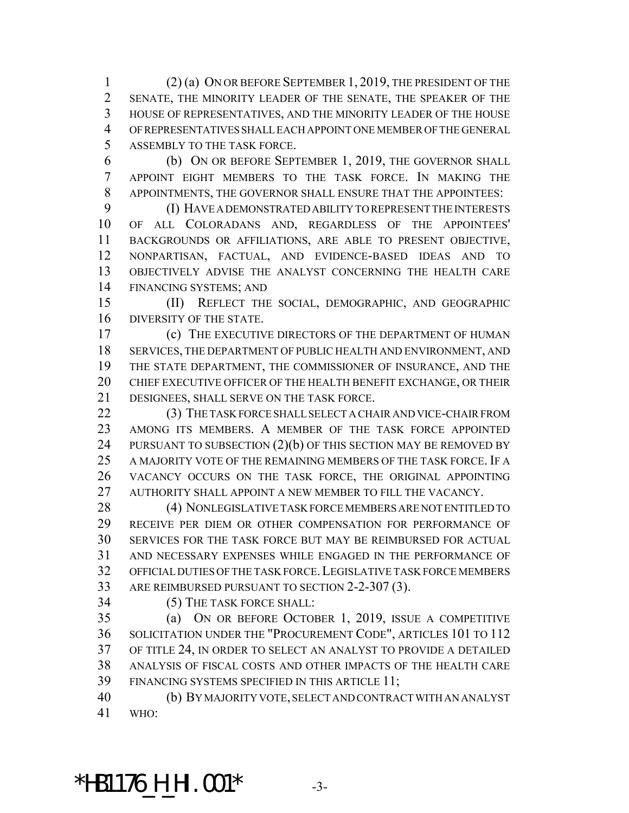(2) (a) ON OR BEFORE SEPTEMBER 1, 2019, THE PRESIDENT OF THE SENATE, THE MINORITY LEADER OF THE SENATE, THE SPEAKER OF THE HOUSE OF REPRESENTATIVES, AND THE MINORITY LEADER OF THE HOUSE OF REPRESENTATIVES SHALL EACH APPOINT ONE MEMBER OF THE GENERAL ASSEMBLY TO THE TASK FORCE.

 (b) ON OR BEFORE SEPTEMBER 1, 2019, THE GOVERNOR SHALL APPOINT EIGHT MEMBERS TO THE TASK FORCE. IN MAKING THE APPOINTMENTS, THE GOVERNOR SHALL ENSURE THAT THE APPOINTEES:

 (I) HAVE A DEMONSTRATED ABILITY TO REPRESENT THE INTERESTS OF ALL COLORADANS AND, REGARDLESS OF THE APPOINTEES' BACKGROUNDS OR AFFILIATIONS, ARE ABLE TO PRESENT OBJECTIVE, NONPARTISAN, FACTUAL, AND EVIDENCE-BASED IDEAS AND TO OBJECTIVELY ADVISE THE ANALYST CONCERNING THE HEALTH CARE FINANCING SYSTEMS; AND

 (II) REFLECT THE SOCIAL, DEMOGRAPHIC, AND GEOGRAPHIC DIVERSITY OF THE STATE.

 (c) THE EXECUTIVE DIRECTORS OF THE DEPARTMENT OF HUMAN SERVICES, THE DEPARTMENT OF PUBLIC HEALTH AND ENVIRONMENT, AND THE STATE DEPARTMENT, THE COMMISSIONER OF INSURANCE, AND THE CHIEF EXECUTIVE OFFICER OF THE HEALTH BENEFIT EXCHANGE, OR THEIR DESIGNEES, SHALL SERVE ON THE TASK FORCE.

22 (3) THE TASK FORCE SHALL SELECT A CHAIR AND VICE-CHAIR FROM AMONG ITS MEMBERS. A MEMBER OF THE TASK FORCE APPOINTED 24 PURSUANT TO SUBSECTION (2)(b) OF THIS SECTION MAY BE REMOVED BY A MAJORITY VOTE OF THE REMAINING MEMBERS OF THE TASK FORCE. IF A VACANCY OCCURS ON THE TASK FORCE, THE ORIGINAL APPOINTING 27 AUTHORITY SHALL APPOINT A NEW MEMBER TO FILL THE VACANCY.

28 (4) NONLEGISLATIVE TASK FORCE MEMBERS ARE NOT ENTITLED TO RECEIVE PER DIEM OR OTHER COMPENSATION FOR PERFORMANCE OF SERVICES FOR THE TASK FORCE BUT MAY BE REIMBURSED FOR ACTUAL AND NECESSARY EXPENSES WHILE ENGAGED IN THE PERFORMANCE OF OFFICIAL DUTIES OF THE TASK FORCE.LEGISLATIVE TASK FORCE MEMBERS 33 ARE REIMBURSED PURSUANT TO SECTION 2-2-307 (3).

(5) THE TASK FORCE SHALL:

 (a) ON OR BEFORE OCTOBER 1, 2019, ISSUE A COMPETITIVE SOLICITATION UNDER THE "PROCUREMENT CODE", ARTICLES 101 TO 112 OF TITLE 24, IN ORDER TO SELECT AN ANALYST TO PROVIDE A DETAILED ANALYSIS OF FISCAL COSTS AND OTHER IMPACTS OF THE HEALTH CARE FINANCING SYSTEMS SPECIFIED IN THIS ARTICLE 11;

 (b) BY MAJORITY VOTE, SELECT AND CONTRACT WITH AN ANALYST WHO:

## \*HB1176\_H\_HI.001\* -3-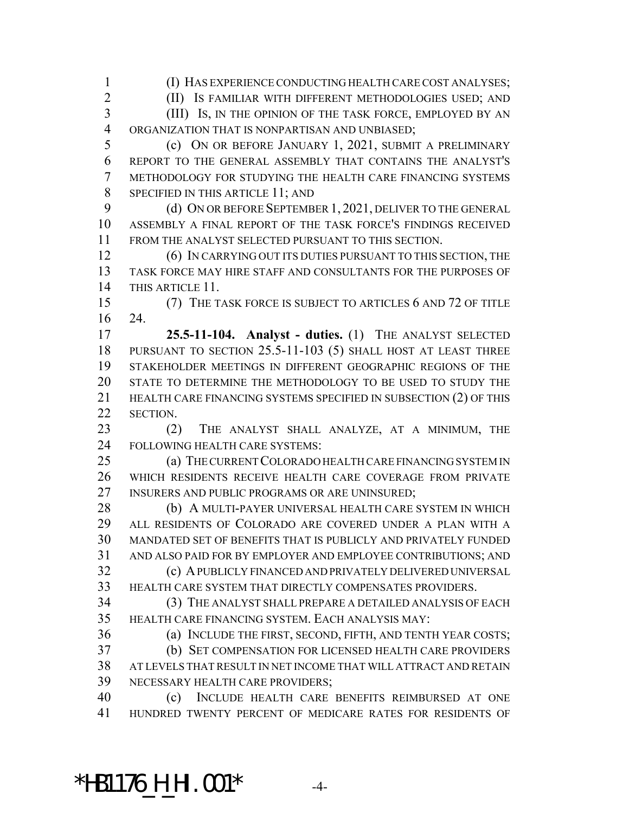(I) HAS EXPERIENCE CONDUCTING HEALTH CARE COST ANALYSES;

(II) IS FAMILIAR WITH DIFFERENT METHODOLOGIES USED; AND

 (III) IS, IN THE OPINION OF THE TASK FORCE, EMPLOYED BY AN ORGANIZATION THAT IS NONPARTISAN AND UNBIASED;

 (c) ON OR BEFORE JANUARY 1, 2021, SUBMIT A PRELIMINARY REPORT TO THE GENERAL ASSEMBLY THAT CONTAINS THE ANALYST'S METHODOLOGY FOR STUDYING THE HEALTH CARE FINANCING SYSTEMS 8 SPECIFIED IN THIS ARTICLE 11; AND

9 (d) ON OR BEFORE SEPTEMBER 1, 2021, DELIVER TO THE GENERAL ASSEMBLY A FINAL REPORT OF THE TASK FORCE'S FINDINGS RECEIVED FROM THE ANALYST SELECTED PURSUANT TO THIS SECTION.

 (6) IN CARRYING OUT ITS DUTIES PURSUANT TO THIS SECTION, THE TASK FORCE MAY HIRE STAFF AND CONSULTANTS FOR THE PURPOSES OF THIS ARTICLE 11.

 (7) THE TASK FORCE IS SUBJECT TO ARTICLES 6 AND 72 OF TITLE 24.

 **25.5-11-104. Analyst - duties.** (1) THE ANALYST SELECTED PURSUANT TO SECTION 25.5-11-103 (5) SHALL HOST AT LEAST THREE STAKEHOLDER MEETINGS IN DIFFERENT GEOGRAPHIC REGIONS OF THE STATE TO DETERMINE THE METHODOLOGY TO BE USED TO STUDY THE 21 HEALTH CARE FINANCING SYSTEMS SPECIFIED IN SUBSECTION (2) OF THIS SECTION.

23 (2) THE ANALYST SHALL ANALYZE, AT A MINIMUM, THE FOLLOWING HEALTH CARE SYSTEMS:

 (a) THE CURRENT COLORADO HEALTH CARE FINANCING SYSTEM IN WHICH RESIDENTS RECEIVE HEALTH CARE COVERAGE FROM PRIVATE INSURERS AND PUBLIC PROGRAMS OR ARE UNINSURED;

28 (b) A MULTI-PAYER UNIVERSAL HEALTH CARE SYSTEM IN WHICH ALL RESIDENTS OF COLORADO ARE COVERED UNDER A PLAN WITH A MANDATED SET OF BENEFITS THAT IS PUBLICLY AND PRIVATELY FUNDED AND ALSO PAID FOR BY EMPLOYER AND EMPLOYEE CONTRIBUTIONS; AND (c) A PUBLICLY FINANCED AND PRIVATELY DELIVERED UNIVERSAL

HEALTH CARE SYSTEM THAT DIRECTLY COMPENSATES PROVIDERS.

 (3) THE ANALYST SHALL PREPARE A DETAILED ANALYSIS OF EACH HEALTH CARE FINANCING SYSTEM. EACH ANALYSIS MAY:

(a) INCLUDE THE FIRST, SECOND, FIFTH, AND TENTH YEAR COSTS;

 (b) SET COMPENSATION FOR LICENSED HEALTH CARE PROVIDERS AT LEVELS THAT RESULT IN NET INCOME THAT WILL ATTRACT AND RETAIN NECESSARY HEALTH CARE PROVIDERS;

 (c) INCLUDE HEALTH CARE BENEFITS REIMBURSED AT ONE HUNDRED TWENTY PERCENT OF MEDICARE RATES FOR RESIDENTS OF

## \*HB1176\_H\_HI.001\* -4-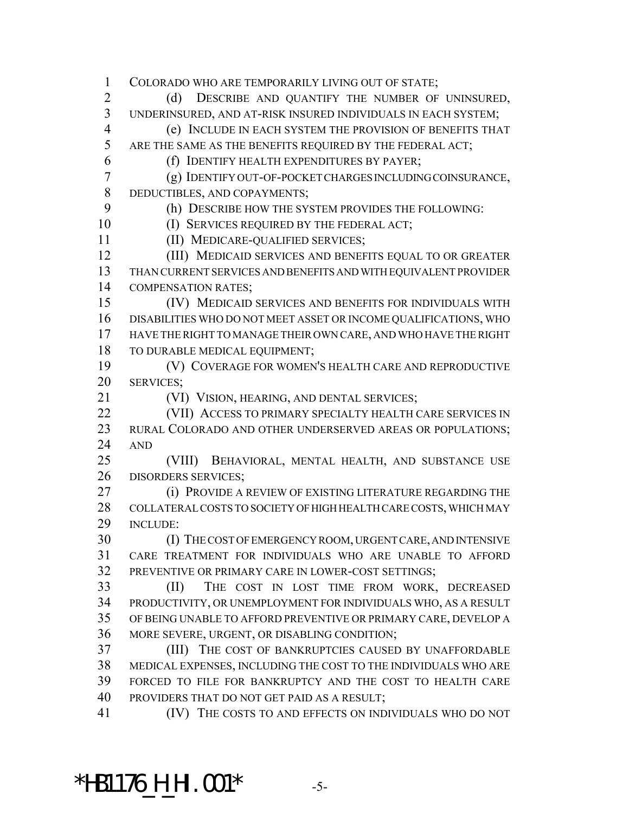COLORADO WHO ARE TEMPORARILY LIVING OUT OF STATE; 2 (d) DESCRIBE AND QUANTIFY THE NUMBER OF UNINSURED, UNDERINSURED, AND AT-RISK INSURED INDIVIDUALS IN EACH SYSTEM; (e) INCLUDE IN EACH SYSTEM THE PROVISION OF BENEFITS THAT ARE THE SAME AS THE BENEFITS REQUIRED BY THE FEDERAL ACT; (f) IDENTIFY HEALTH EXPENDITURES BY PAYER; (g) IDENTIFY OUT-OF-POCKET CHARGES INCLUDING COINSURANCE, DEDUCTIBLES, AND COPAYMENTS; (h) DESCRIBE HOW THE SYSTEM PROVIDES THE FOLLOWING: 10 (I) SERVICES REQUIRED BY THE FEDERAL ACT; (II) MEDICARE-QUALIFIED SERVICES; (III) MEDICAID SERVICES AND BENEFITS EQUAL TO OR GREATER THAN CURRENT SERVICES AND BENEFITS AND WITH EQUIVALENT PROVIDER COMPENSATION RATES; (IV) MEDICAID SERVICES AND BENEFITS FOR INDIVIDUALS WITH DISABILITIES WHO DO NOT MEET ASSET OR INCOME QUALIFICATIONS, WHO HAVE THE RIGHT TO MANAGE THEIR OWN CARE, AND WHO HAVE THE RIGHT TO DURABLE MEDICAL EQUIPMENT; (V) COVERAGE FOR WOMEN'S HEALTH CARE AND REPRODUCTIVE SERVICES; (VI) VISION, HEARING, AND DENTAL SERVICES; **(VII) ACCESS TO PRIMARY SPECIALTY HEALTH CARE SERVICES IN**  RURAL COLORADO AND OTHER UNDERSERVED AREAS OR POPULATIONS; AND (VIII) BEHAVIORAL, MENTAL HEALTH, AND SUBSTANCE USE DISORDERS SERVICES; **(i) PROVIDE A REVIEW OF EXISTING LITERATURE REGARDING THE**  COLLATERAL COSTS TO SOCIETY OF HIGH HEALTH CARE COSTS, WHICH MAY INCLUDE: (I) THE COST OF EMERGENCY ROOM, URGENT CARE, AND INTENSIVE CARE TREATMENT FOR INDIVIDUALS WHO ARE UNABLE TO AFFORD PREVENTIVE OR PRIMARY CARE IN LOWER-COST SETTINGS; (II) THE COST IN LOST TIME FROM WORK, DECREASED PRODUCTIVITY, OR UNEMPLOYMENT FOR INDIVIDUALS WHO, AS A RESULT OF BEING UNABLE TO AFFORD PREVENTIVE OR PRIMARY CARE, DEVELOP A MORE SEVERE, URGENT, OR DISABLING CONDITION; (III) THE COST OF BANKRUPTCIES CAUSED BY UNAFFORDABLE MEDICAL EXPENSES, INCLUDING THE COST TO THE INDIVIDUALS WHO ARE FORCED TO FILE FOR BANKRUPTCY AND THE COST TO HEALTH CARE PROVIDERS THAT DO NOT GET PAID AS A RESULT; (IV) THE COSTS TO AND EFFECTS ON INDIVIDUALS WHO DO NOT

### \*HB1176\_H\_HI.001\* -5-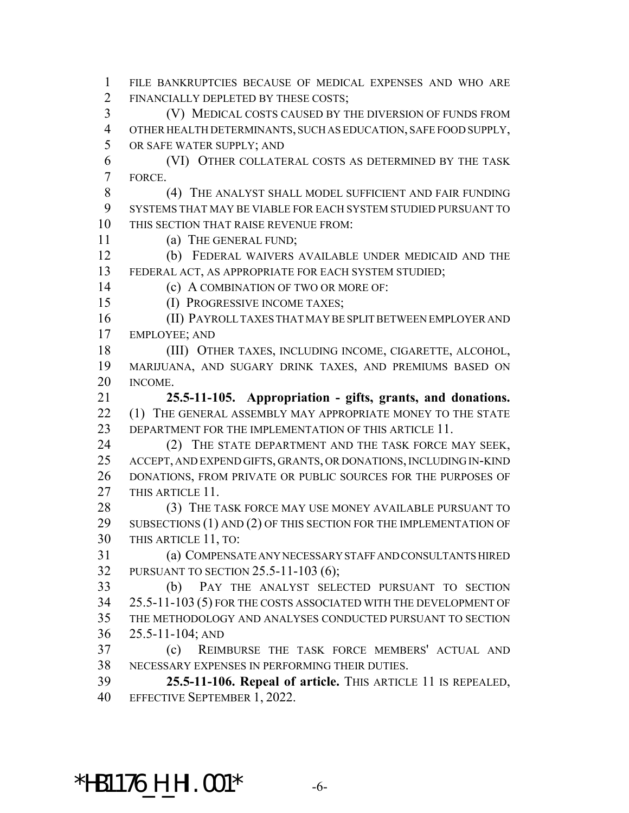FILE BANKRUPTCIES BECAUSE OF MEDICAL EXPENSES AND WHO ARE FINANCIALLY DEPLETED BY THESE COSTS;

 (V) MEDICAL COSTS CAUSED BY THE DIVERSION OF FUNDS FROM OTHER HEALTH DETERMINANTS, SUCH AS EDUCATION, SAFE FOOD SUPPLY, OR SAFE WATER SUPPLY; AND

 (VI) OTHER COLLATERAL COSTS AS DETERMINED BY THE TASK FORCE.

 (4) THE ANALYST SHALL MODEL SUFFICIENT AND FAIR FUNDING SYSTEMS THAT MAY BE VIABLE FOR EACH SYSTEM STUDIED PURSUANT TO THIS SECTION THAT RAISE REVENUE FROM:

(a) THE GENERAL FUND;

 (b) FEDERAL WAIVERS AVAILABLE UNDER MEDICAID AND THE FEDERAL ACT, AS APPROPRIATE FOR EACH SYSTEM STUDIED;

**(c) A COMBINATION OF TWO OR MORE OF:** 

(I) PROGRESSIVE INCOME TAXES;

 (II) PAYROLL TAXES THAT MAY BE SPLIT BETWEEN EMPLOYER AND EMPLOYEE; AND

 (III) OTHER TAXES, INCLUDING INCOME, CIGARETTE, ALCOHOL, MARIJUANA, AND SUGARY DRINK TAXES, AND PREMIUMS BASED ON INCOME.

 **25.5-11-105. Appropriation - gifts, grants, and donations.** 22 (1) THE GENERAL ASSEMBLY MAY APPROPRIATE MONEY TO THE STATE DEPARTMENT FOR THE IMPLEMENTATION OF THIS ARTICLE 11.

24 (2) THE STATE DEPARTMENT AND THE TASK FORCE MAY SEEK, ACCEPT, AND EXPEND GIFTS, GRANTS, OR DONATIONS, INCLUDING IN-KIND DONATIONS, FROM PRIVATE OR PUBLIC SOURCES FOR THE PURPOSES OF 27 THIS ARTICLE 11.

28 (3) THE TASK FORCE MAY USE MONEY AVAILABLE PURSUANT TO 29 SUBSECTIONS (1) AND (2) OF THIS SECTION FOR THE IMPLEMENTATION OF THIS ARTICLE 11, TO:

 (a) COMPENSATE ANY NECESSARY STAFF AND CONSULTANTS HIRED PURSUANT TO SECTION 25.5-11-103 (6);

 (b) PAY THE ANALYST SELECTED PURSUANT TO SECTION 25.5-11-103 (5) FOR THE COSTS ASSOCIATED WITH THE DEVELOPMENT OF THE METHODOLOGY AND ANALYSES CONDUCTED PURSUANT TO SECTION 25.5-11-104; AND

 (c) REIMBURSE THE TASK FORCE MEMBERS' ACTUAL AND NECESSARY EXPENSES IN PERFORMING THEIR DUTIES.

 **25.5-11-106. Repeal of article.** THIS ARTICLE 11 IS REPEALED, EFFECTIVE SEPTEMBER 1, 2022.

**\*HB1176\_H\_HI.001\***  $-6$ -